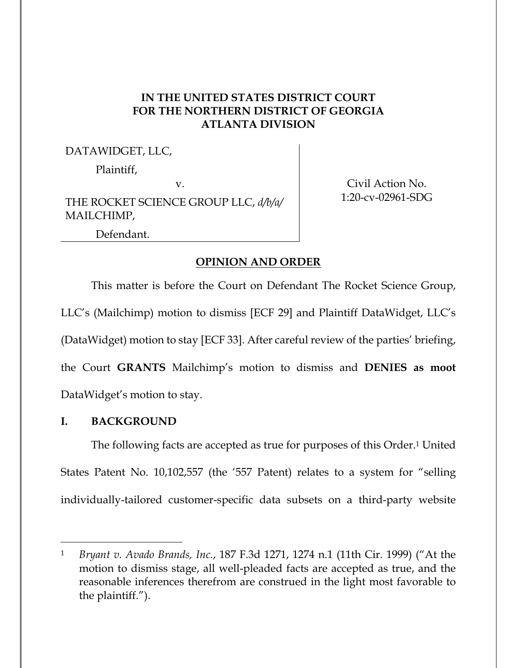# **IN THE UNITED STATES DISTRICT COURT FOR THE NORTHERN DISTRICT OF GEORGIA ATLANTA DIVISION**

## DATAWIDGET, LLC,

Plaintiff,

v.

THE ROCKET SCIENCE GROUP LLC, *d/b/a/* MAILCHIMP,

Civil Action No. 1:20-cv-02961-SDG

Defendant.

## **OPINION AND ORDER**

This matter is before the Court on Defendant The Rocket Science Group, LLC's (Mailchimp) motion to dismiss [ECF 29] and Plaintiff DataWidget, LLC's (DataWidget) motion to stay [ECF 33]. After careful review of the parties' briefing, the Court **GRANTS** Mailchimp's motion to dismiss and **DENIES as moot** DataWidget's motion to stay.

# **I. BACKGROUND**

The following facts are accepted as true for purposes of this Order.1 United States Patent No. 10,102,557 (the '557 Patent) relates to a system for "selling individually-tailored customer-specific data subsets on a third-party website

<sup>1</sup> *Bryant v. Avado Brands, Inc.*, 187 F.3d 1271, 1274 n.1 (11th Cir. 1999) ("At the motion to dismiss stage, all well-pleaded facts are accepted as true, and the reasonable inferences therefrom are construed in the light most favorable to the plaintiff.").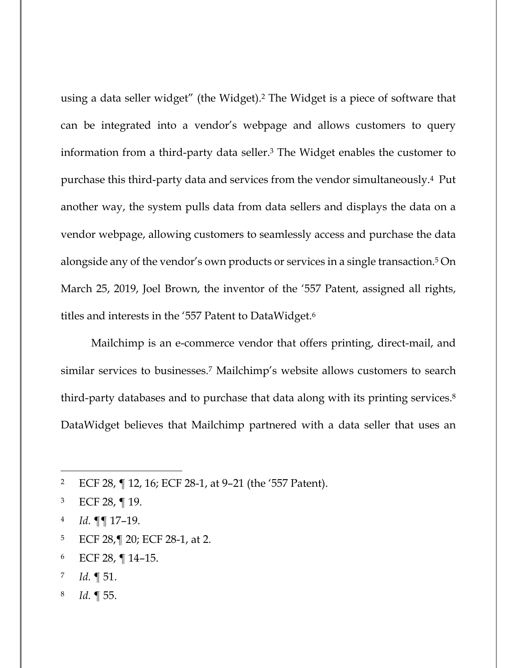using a data seller widget" (the Widget).2 The Widget is a piece of software that can be integrated into a vendor's webpage and allows customers to query information from a third-party data seller.3 The Widget enables the customer to purchase this third-party data and services from the vendor simultaneously.4 Put another way, the system pulls data from data sellers and displays the data on a vendor webpage, allowing customers to seamlessly access and purchase the data alongside any of the vendor's own products or services in a single transaction.5 On March 25, 2019, Joel Brown, the inventor of the '557 Patent, assigned all rights, titles and interests in the '557 Patent to DataWidget.6

Mailchimp is an e-commerce vendor that offers printing, direct-mail, and similar services to businesses.7 Mailchimp's website allows customers to search third-party databases and to purchase that data along with its printing services.8 DataWidget believes that Mailchimp partnered with a data seller that uses an

- 5 ECF 28,¶ 20; ECF 28-1, at 2.
- 6 ECF 28, ¶ 14–15.
- 7 *Id.* ¶ 51.
- 8 *Id.* ¶ 55.

<sup>2</sup> ECF 28, ¶ 12, 16; ECF 28-1, at 9–21 (the '557 Patent).

<sup>3</sup> ECF 28, ¶ 19.

<sup>4</sup> *Id.* ¶¶ 17–19.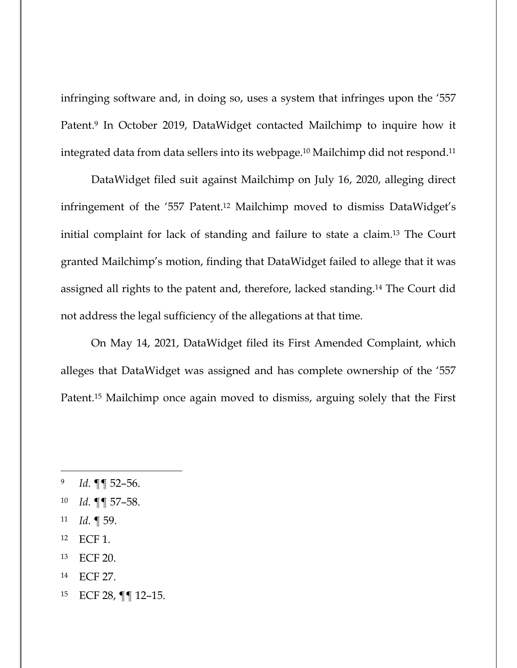infringing software and, in doing so, uses a system that infringes upon the '557 Patent.9 In October 2019, DataWidget contacted Mailchimp to inquire how it integrated data from data sellers into its webpage.10 Mailchimp did not respond.11

DataWidget filed suit against Mailchimp on July 16, 2020, alleging direct infringement of the '557 Patent.12 Mailchimp moved to dismiss DataWidget's initial complaint for lack of standing and failure to state a claim.13 The Court granted Mailchimp's motion, finding that DataWidget failed to allege that it was assigned all rights to the patent and, therefore, lacked standing.14 The Court did not address the legal sufficiency of the allegations at that time.

On May 14, 2021, DataWidget filed its First Amended Complaint, which alleges that DataWidget was assigned and has complete ownership of the '557 Patent.15 Mailchimp once again moved to dismiss, arguing solely that the First

- 11 *Id.* ¶ 59.
- 12 ECF 1.
- 13 ECF 20.
- 14 ECF 27.
- 15 ECF 28, ¶¶ 12–15.

<sup>9</sup> *Id.* ¶¶ 52–56.

<sup>10</sup> *Id.* ¶¶ 57–58.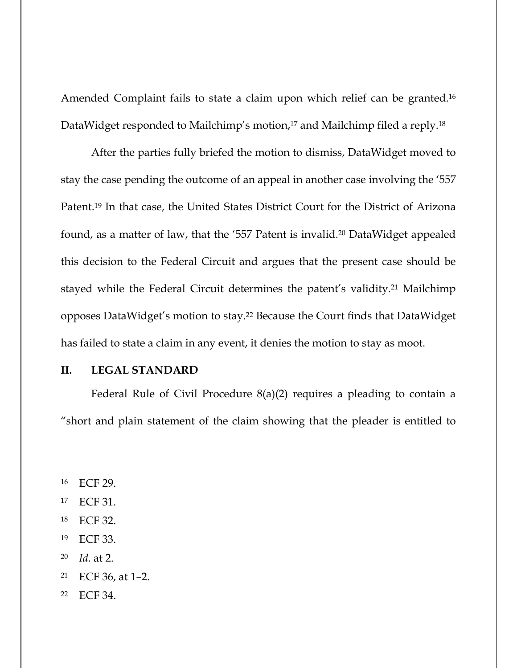Amended Complaint fails to state a claim upon which relief can be granted.16 DataWidget responded to Mailchimp's motion,<sup>17</sup> and Mailchimp filed a reply.<sup>18</sup>

After the parties fully briefed the motion to dismiss, DataWidget moved to stay the case pending the outcome of an appeal in another case involving the '557 Patent.19 In that case, the United States District Court for the District of Arizona found, as a matter of law, that the '557 Patent is invalid.20 DataWidget appealed this decision to the Federal Circuit and argues that the present case should be stayed while the Federal Circuit determines the patent's validity.21 Mailchimp opposes DataWidget's motion to stay.22 Because the Court finds that DataWidget has failed to state a claim in any event, it denies the motion to stay as moot.

#### **II. LEGAL STANDARD**

Federal Rule of Civil Procedure 8(a)(2) requires a pleading to contain a "short and plain statement of the claim showing that the pleader is entitled to

- 19 ECF 33.
- 20 *Id.* at 2.
- 21 ECF 36, at 1–2.
- 22 ECF 34.

<sup>16</sup> ECF 29.

<sup>17</sup> ECF 31.

<sup>18</sup> ECF 32.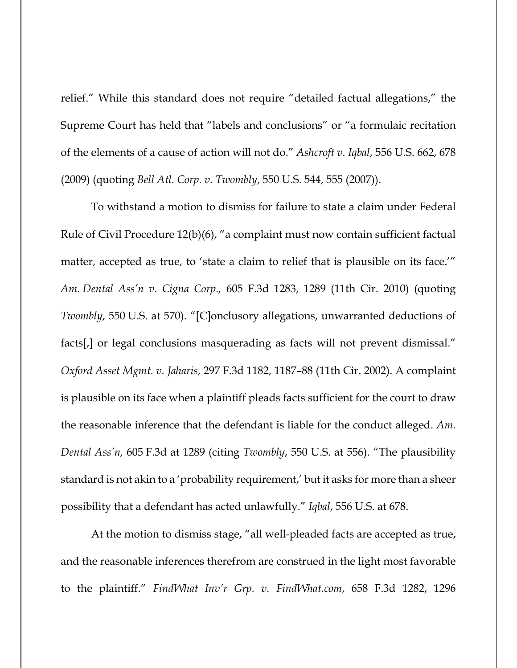relief." While this standard does not require "detailed factual allegations," the Supreme Court has held that "labels and conclusions" or "a formulaic recitation of the elements of a cause of action will not do." *Ashcroft v. Iqbal*, 556 U.S. 662, 678 (2009) (quoting *Bell Atl. Corp. v. Twombly*, 550 U.S. 544, 555 (2007)).

To withstand a motion to dismiss for failure to state a claim under Federal Rule of Civil Procedure 12(b)(6), "a complaint must now contain sufficient factual matter, accepted as true, to 'state a claim to relief that is plausible on its face.'" *Am. Dental Ass'n v. Cigna Corp.,* 605 F.3d 1283, 1289 (11th Cir. 2010) (quoting *Twombly*, 550 U.S. at 570). "[C]onclusory allegations, unwarranted deductions of facts[,] or legal conclusions masquerading as facts will not prevent dismissal." *Oxford Asset Mgmt. v. Jaharis*, 297 F.3d 1182, 1187–88 (11th Cir. 2002). A complaint is plausible on its face when a plaintiff pleads facts sufficient for the court to draw the reasonable inference that the defendant is liable for the conduct alleged. *Am. Dental Ass'n,* 605 F.3d at 1289 (citing *Twombly*, 550 U.S. at 556). "The plausibility standard is not akin to a 'probability requirement,' but it asks for more than a sheer possibility that a defendant has acted unlawfully." *Iqbal*, 556 U.S. at 678.

At the motion to dismiss stage, "all well-pleaded facts are accepted as true, and the reasonable inferences therefrom are construed in the light most favorable to the plaintiff." *FindWhat Inv'r Grp. v. FindWhat.com*, 658 F.3d 1282, 1296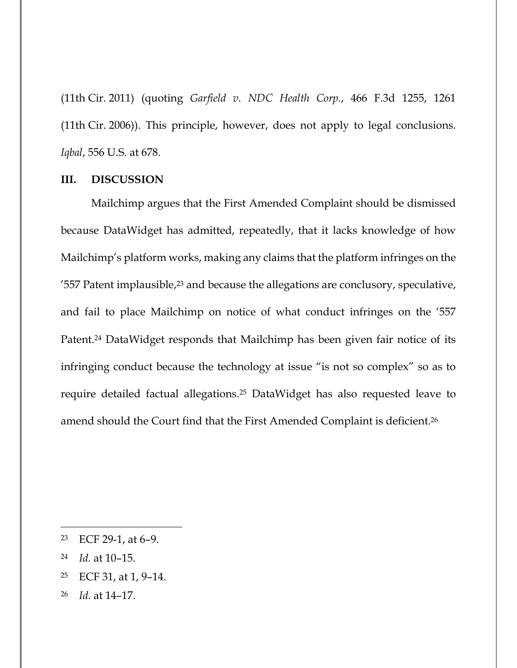(11th Cir. 2011) (quoting *Garfield v. NDC Health Corp.*, 466 F.3d 1255, 1261 (11th Cir. 2006)). This principle, however, does not apply to legal conclusions. *Iqbal*, 556 U.S. at 678.

#### **III. DISCUSSION**

Mailchimp argues that the First Amended Complaint should be dismissed because DataWidget has admitted, repeatedly, that it lacks knowledge of how Mailchimp's platform works, making any claims that the platform infringes on the '557 Patent implausible,<sup>23</sup> and because the allegations are conclusory, speculative, and fail to place Mailchimp on notice of what conduct infringes on the '557 Patent.24 DataWidget responds that Mailchimp has been given fair notice of its infringing conduct because the technology at issue "is not so complex" so as to require detailed factual allegations.25 DataWidget has also requested leave to amend should the Court find that the First Amended Complaint is deficient.26

- 24 *Id.* at 10–15.
- 25 ECF 31, at 1, 9–14.
- 26 *Id.* at 14–17.

<sup>23</sup> ECF 29-1, at 6–9.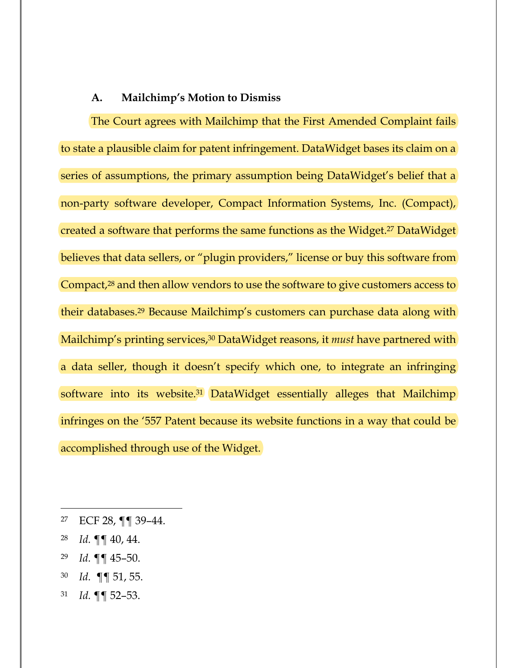### **A. Mailchimp's Motion to Dismiss**

The Court agrees with Mailchimp that the First Amended Complaint fails to state a plausible claim for patent infringement. DataWidget bases its claim on a series of assumptions, the primary assumption being DataWidget's belief that a non-party software developer, Compact Information Systems, Inc. (Compact), created a software that performs the same functions as the Widget.27 DataWidget believes that data sellers, or "plugin providers," license or buy this software from Compact,<sup>28</sup> and then allow vendors to use the software to give customers access to their databases.29 Because Mailchimp's customers can purchase data along with Mailchimp's printing services,<sup>30</sup> DataWidget reasons, it *must* have partnered with a data seller, though it doesn't specify which one, to integrate an infringing software into its website.<sup>31</sup> DataWidget essentially alleges that Mailchimp infringes on the '557 Patent because its website functions in a way that could be accomplished through use of the Widget.

- 28 *Id.* ¶¶ 40, 44.
- 29 *Id.* ¶¶ 45–50.
- 30 *Id.* ¶¶ 51, 55.
- 31 *Id.* ¶¶ 52–53.

<sup>27</sup> ECF 28, ¶¶ 39–44.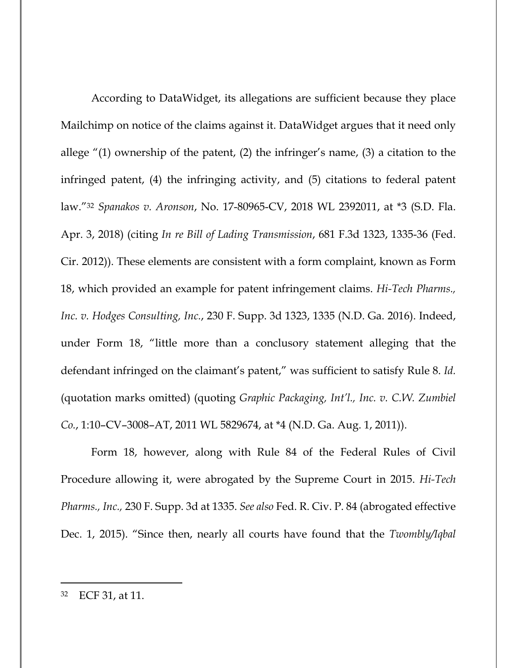According to DataWidget, its allegations are sufficient because they place Mailchimp on notice of the claims against it. DataWidget argues that it need only allege "(1) ownership of the patent, (2) the infringer's name, (3) a citation to the infringed patent, (4) the infringing activity, and (5) citations to federal patent law."32 *Spanakos v. Aronson*, No. 17-80965-CV, 2018 WL 2392011, at \*3 (S.D. Fla. Apr. 3, 2018) (citing *In re Bill of Lading Transmission*, 681 F.3d 1323, 1335-36 (Fed. Cir. 2012)). These elements are consistent with a form complaint, known as Form 18, which provided an example for patent infringement claims. *Hi-Tech Pharms., Inc. v. Hodges Consulting, Inc.*, 230 F. Supp. 3d 1323, 1335 (N.D. Ga. 2016). Indeed, under Form 18, "little more than a conclusory statement alleging that the defendant infringed on the claimant's patent," was sufficient to satisfy Rule 8. *Id.* (quotation marks omitted) (quoting *Graphic Packaging, Int'l., Inc. v. C.W. Zumbiel Co.*, 1:10–CV–3008–AT, 2011 WL 5829674, at \*4 (N.D. Ga. Aug. 1, 2011)).

Form 18, however, along with Rule 84 of the Federal Rules of Civil Procedure allowing it, were abrogated by the Supreme Court in 2015. *Hi-Tech Pharms., Inc.,* 230 F. Supp. 3d at 1335. *See also* Fed. R. Civ. P. 84 (abrogated effective Dec. 1, 2015). "Since then, nearly all courts have found that the *Twombly/Iqbal*

<sup>32</sup> ECF 31, at 11.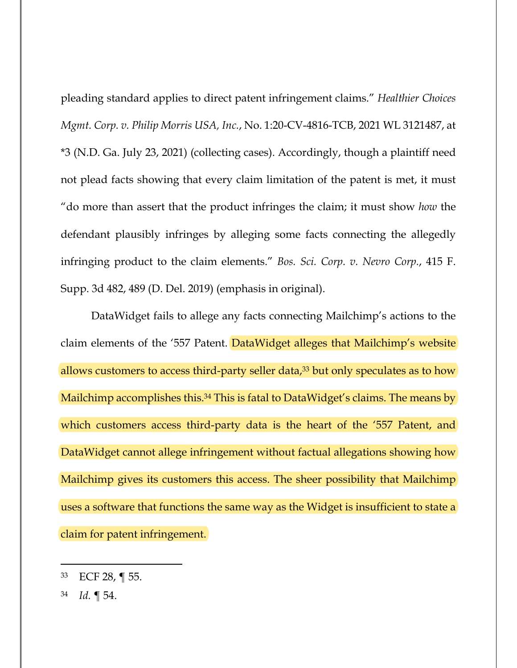pleading standard applies to direct patent infringement claims." *Healthier Choices Mgmt. Corp. v. Philip Morris USA, Inc.*, No. 1:20-CV-4816-TCB, 2021 WL 3121487, at \*3 (N.D. Ga. July 23, 2021) (collecting cases). Accordingly, though a plaintiff need not plead facts showing that every claim limitation of the patent is met, it must "do more than assert that the product infringes the claim; it must show *how* the defendant plausibly infringes by alleging some facts connecting the allegedly infringing product to the claim elements." *Bos. Sci. Corp. v. Nevro Corp.*, 415 F. Supp. 3d 482, 489 (D. Del. 2019) (emphasis in original).

DataWidget fails to allege any facts connecting Mailchimp's actions to the claim elements of the '557 Patent. DataWidget alleges that Mailchimp's website allows customers to access third-party seller data,<sup>33</sup> but only speculates as to how Mailchimp accomplishes this.<sup>34</sup> This is fatal to DataWidget's claims. The means by which customers access third-party data is the heart of the '557 Patent, and DataWidget cannot allege infringement without factual allegations showing how Mailchimp gives its customers this access. The sheer possibility that Mailchimp uses a software that functions the same way as the Widget is insufficient to state a claim for patent infringement.

<sup>33</sup> ECF 28, ¶ 55.

<sup>34</sup> *Id.* ¶ 54.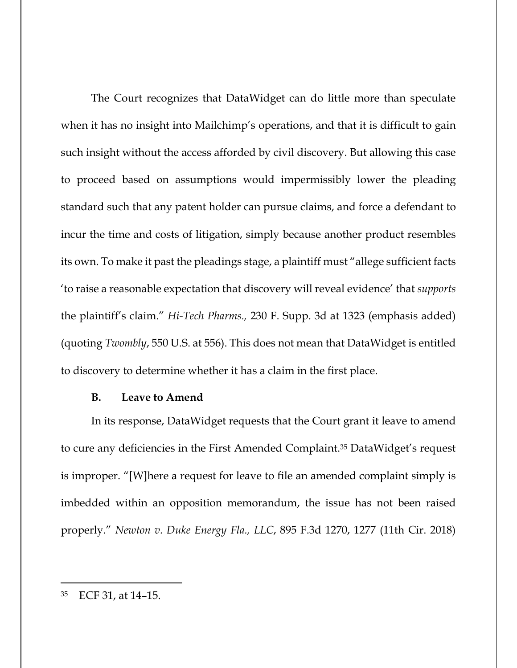The Court recognizes that DataWidget can do little more than speculate when it has no insight into Mailchimp's operations, and that it is difficult to gain such insight without the access afforded by civil discovery. But allowing this case to proceed based on assumptions would impermissibly lower the pleading standard such that any patent holder can pursue claims, and force a defendant to incur the time and costs of litigation, simply because another product resembles its own. To make it past the pleadings stage, a plaintiff must "allege sufficient facts 'to raise a reasonable expectation that discovery will reveal evidence' that *supports* the plaintiff's claim." *Hi-Tech Pharms.,* 230 F. Supp. 3d at 1323 (emphasis added) (quoting *Twombly*, 550 U.S. at 556). This does not mean that DataWidget is entitled to discovery to determine whether it has a claim in the first place.

#### **B. Leave to Amend**

In its response, DataWidget requests that the Court grant it leave to amend to cure any deficiencies in the First Amended Complaint.35 DataWidget's request is improper. "[W]here a request for leave to file an amended complaint simply is imbedded within an opposition memorandum, the issue has not been raised properly." *Newton v. Duke Energy Fla., LLC*, 895 F.3d 1270, 1277 (11th Cir. 2018)

<sup>35</sup> ECF 31, at 14–15.